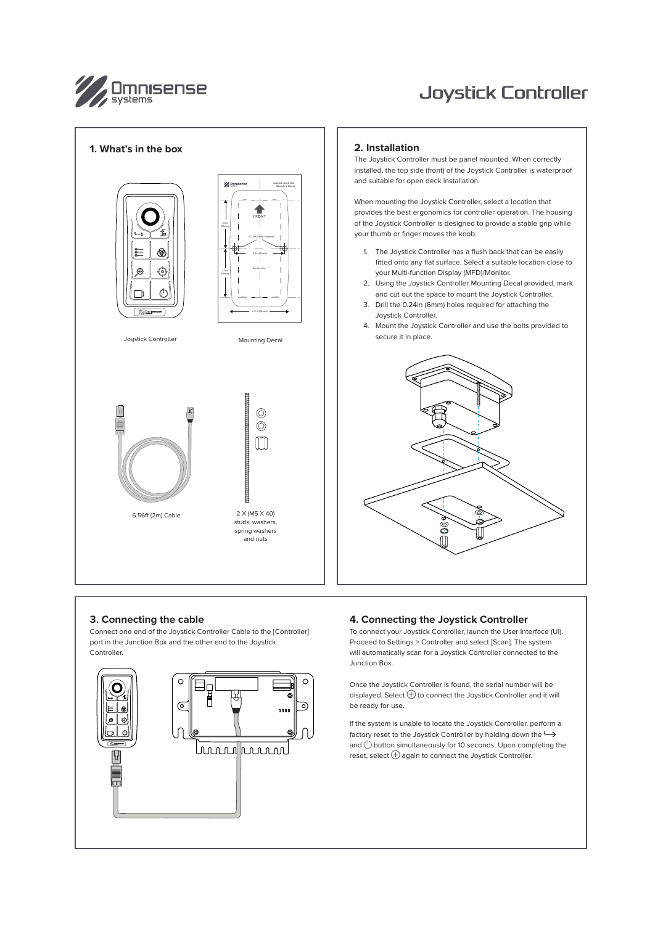

# **Joystick Controller**



## **3. Connecting the cable**

Connect one end of the Joystick Controller Cable to the [Controller] port in the Junction Box and the other end to the Joystick **Controller** 



### **2. Installation**

The Joystick Controller must be panel mounted. When correctly installed, the top side (front) of the Joystick Controller is waterproof and suitable for open deck installation.

When mounting the Joystick Controller, select a location that provides the best ergonomics for controller operation. The housing of the Joystick Controller is designed to provide a stable grip while your thumb or finger moves the knob.

- 1. The Joystick Controller has a flush back that can be easily fitted onto any flat surface. Select a suitable location close to your Multi-function Display (MFD)/Monitor.
- 2. Using the Joystick Controller Mounting Decal provided, mark and cut out the space to mount the Joystick Controller.
- 3. Drill the 0.24in (6mm) holes required for attaching the Joystick Controller.
- 4. Mount the Joystick Controller and use the bolts provided to secure it in place.



#### **4. Connecting the Joystick Controller**

To connect your Joystick Controller, launch the User Interface (UI). Proceed to Settings > Controller and select [Scan]. The system will automatically scan for a Joystick Controller connected to the Junction Box.

Once the Joystick Controller is found, the serial number will be displayed. Select  $\bigoplus$  to connect the Joystick Controller and it will be ready for use.

If the system is unable to locate the Joystick Controller, perform a factory reset to the Joystick Controller by holding down the and  $\bigcirc$  button simultaneously for 10 seconds. Upon completing the reset, select  $\bigoplus$  again to connect the Joystick Controller.